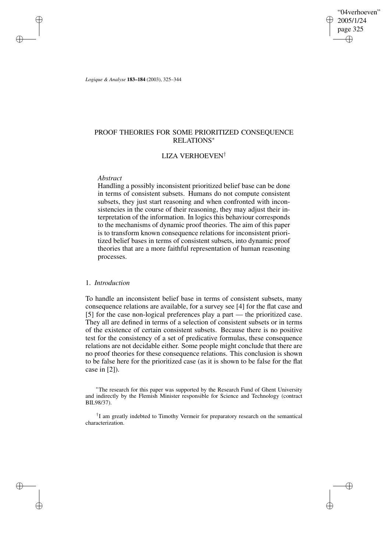"04verhoeven" 2005/1/24 page 325 ✐ ✐

✐

✐

*Logique & Analyse* **183–184** (2003), 325–344

# PROOF THEORIES FOR SOME PRIORITIZED CONSEQUENCE RELATIONS<sup>∗</sup>

# LIZA VERHOEVEN†

### *Abstract*

✐

✐

✐

✐

Handling a possibly inconsistent prioritized belief base can be done in terms of consistent subsets. Humans do not compute consistent subsets, they just start reasoning and when confronted with inconsistencies in the course of their reasoning, they may adjust their interpretation of the information. In logics this behaviour corresponds to the mechanisms of dynamic proof theories. The aim of this paper is to transform known consequence relations for inconsistent prioritized belief bases in terms of consistent subsets, into dynamic proof theories that are a more faithful representation of human reasoning processes.

# 1. *Introduction*

To handle an inconsistent belief base in terms of consistent subsets, many consequence relations are available, for a survey see [4] for the flat case and [5] for the case non-logical preferences play a part — the prioritized case. They all are defined in terms of a selection of consistent subsets or in terms of the existence of certain consistent subsets. Because there is no positive test for the consistency of a set of predicative formulas, these consequence relations are not decidable either. Some people might conclude that there are no proof theories for these consequence relations. This conclusion is shown to be false here for the prioritized case (as it is shown to be false for the flat case in [2]).

<sup>∗</sup>The research for this paper was supported by the Research Fund of Ghent University and indirectly by the Flemish Minister responsible for Science and Technology (contract BIL98/37).

† I am greatly indebted to Timothy Vermeir for preparatory research on the semantical characterization.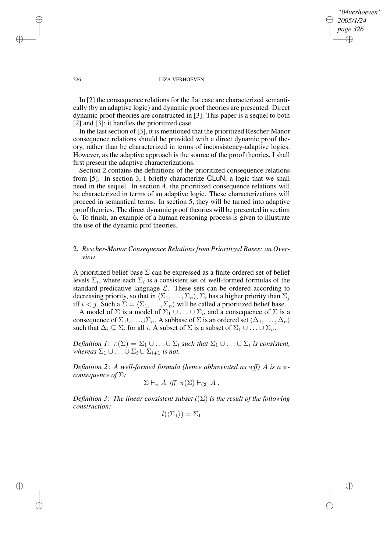*"04verhoeven" 2005/1/24 page 326* ✐ ✐

✐

✐

### 326 LIZA VERHOEVEN

In [2] the consequence relations for the flat case are characterized semantically (by an adaptive logic) and dynamic proof theories are presented. Direct dynamic proof theories are constructed in [3]. This paper is a sequel to both [2] and [3]; it handles the prioritized case.

In the last section of [3], it is mentioned that the prioritized Rescher-Manor consequence relations should be provided with a direct dynamic proof theory, rather than be characterized in terms of inconsistency-adaptive logics. However, as the adaptive approach is the source of the proof theories, I shall first present the adaptive characterizations.

Section 2 contains the definitions of the prioritized consequence relations from [5]. In section 3, I briefly characterize CLuN, a logic that we shall need in the sequel. In section 4, the prioritized consequence relations will be characterized in terms of an adaptive logic. These characterizations will proceed in semantical terms. In section 5, they will be turned into adaptive proof theories. The direct dynamic proof theories will be presented in section 6. To finish, an example of a human reasoning process is given to illustrate the use of the dynamic prof theories.

# 2. *Rescher-Manor Consequence Relations from Prioritized Bases: an Overview*

A prioritized belief base  $\Sigma$  can be expressed as a finite ordered set of belief levels  $\Sigma_i$ , where each  $\Sigma_i$  is a consistent set of well-formed formulas of the standard predicative language  $\mathcal{L}$ . These sets can be ordered according to decreasing priority, so that in  $\langle \Sigma_1, \ldots, \Sigma_n \rangle$ ,  $\Sigma_i$  has a higher priority than  $\Sigma_i$ iff  $i < j$ . Such a  $\Sigma = \langle \Sigma_1, \ldots, \Sigma_n \rangle$  will be called a prioritized belief base.

A model of  $\Sigma$  is a model of  $\Sigma_1 \cup \ldots \cup \Sigma_n$  and a consequence of  $\Sigma$  is a consequence of  $\Sigma_1\cup\ldots\cup\Sigma_n$ . A subbase of  $\Sigma$  is an ordered set  $\langle \Delta_1,\ldots,\Delta_n\rangle$ such that  $\Delta_i \subseteq \Sigma_i$  for all i. A subset of  $\Sigma$  is a subset of  $\Sigma_1 \cup \ldots \cup \Sigma_n$ .

*Definition*  $I: \pi(\Sigma) = \Sigma_1 \cup \ldots \cup \Sigma_i$  *such that*  $\Sigma_1 \cup \ldots \cup \Sigma_i$  *is consistent, whereas*  $\Sigma_1 \cup \ldots \cup \Sigma_i \cup \Sigma_{i+1}$  *is not.* 

*Definition 2*: *A well-formed formula (hence abbreviated as wff)* A *is a* π*consequence of* Σ*:*

$$
\Sigma \vdash_{\pi} A \text{ iff } \pi(\Sigma) \vdash_{\mathsf{CL}} A .
$$

*Definition* 3: *The linear consistent subset*  $l(\Sigma)$  *is the result of the following construction:*

$$
l(\langle \Sigma_1 \rangle) = \Sigma_1
$$

✐

✐

✐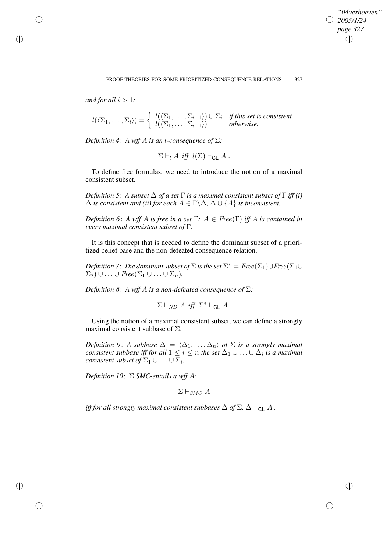✐

*and* for all  $i > 1$ *:* 

✐

✐

✐

✐

$$
l(\langle \Sigma_1,\ldots,\Sigma_i\rangle)=\begin{cases}l(\langle \Sigma_1,\ldots,\Sigma_{i-1}\rangle)\cup \Sigma_i & \text{if this set is consistent} \\l(\langle \Sigma_1,\ldots,\Sigma_{i-1}\rangle) & \text{otherwise.}\end{cases}
$$

*Definition* 4: *A wff A is an l*-consequence of  $\Sigma$ *:* 

 $\Sigma \vdash_l A$  iff  $l(\Sigma) \vdash_{\text{Cl}} A$ .

To define free formulas, we need to introduce the notion of a maximal consistent subset.

*Definition* 5: *A subset*  $\Delta$  *of a set*  $\Gamma$  *is a maximal consistent subset of*  $\Gamma$  *iff (i)*  $\Delta$  *is consistent and (ii) for each*  $A \in \Gamma \backslash \Delta$ ,  $\Delta \cup \{A\}$  *is inconsistent.* 

*Definition* 6: *A wff A is free in a set*  $\Gamma$ *:*  $A \in \text{Free}(\Gamma)$  *iff A is contained in every maximal consistent subset of* Γ*.*

It is this concept that is needed to define the dominant subset of a prioritized belief base and the non-defeated consequence relation.

*Definition 7* : The dominant subset of  $\Sigma$  is the set  $\Sigma^* = \text{Free}(\Sigma_1) \cup \text{Free}(\Sigma_1 \cup \Sigma_2)$  $\Sigma_2) \cup \ldots \cup \mathop{\mathit{Free}}(\Sigma_1 \cup \ldots \cup \Sigma_n).$ 

*Definition* 8: *A wff A is a non-defeated consequence of*  $\Sigma$ *:* 

 $\Sigma \vdash_{ND} A \text{ iff } \Sigma^* \vdash_{CL} A$ .

Using the notion of a maximal consistent subset, we can define a strongly maximal consistent subbase of  $\Sigma$ .

*Definition* 9: *A subbase*  $\Delta = \langle \Delta_1, \ldots, \Delta_n \rangle$  *of*  $\Sigma$  *is a strongly maximal*  $\alpha$  *consistent subbase iff for all*  $1 \leq i \leq n$  *the set*  $\Delta_1 \cup \ldots \cup \Delta_i$  *is a maximal consistent subset of*  $\Sigma_1 \cup \ldots \cup \Sigma_i$ *.* 

*Definition*  $10: \Sigma$  *SMC-entails a* wff A:

 $\Sigma \vdash_{SMC} A$ 

*iff* for all strongly maximal consistent subbases  $\Delta$  of  $\Sigma$ ,  $\Delta \vdash_{\mathsf{CL}} A$ .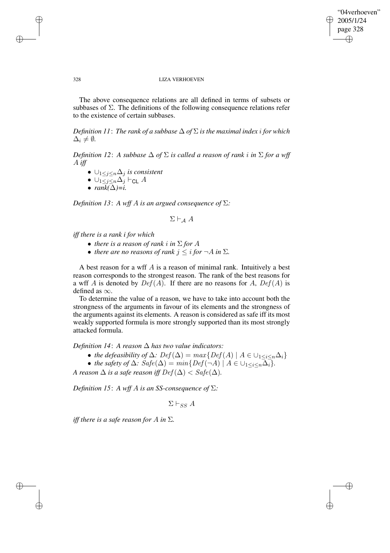✐

### 328 LIZA VERHOEVEN

The above consequence relations are all defined in terms of subsets or subbases of  $\Sigma$ . The definitions of the following consequence relations refer to the existence of certain subbases.

*Definition* 11: *The rank of a subbase*  $\Delta$  *of*  $\Sigma$  *is the maximal index i for which*  $\Delta_i \neq \emptyset$ .

*Definition* 12: A *subbase*  $\Delta$  *of*  $\Sigma$  *is called a reason of rank i in*  $\Sigma$  *for a wff* A *iff*

- ∪1≤j≤n∆<sup>j</sup> *is consistent*
- $\bullet \ \cup_{1 \leq j \leq n} \Delta_j \vdash_{\mathsf{CL}} A$
- *rank(*∆*)=i.*

*Definition* 13: A *wff* A *is an argued consequence of*  $\Sigma$ *:* 

$$
\Sigma\vdash_{\mathcal{A}} A
$$

*iff there is a rank i for which*

- *there is a reason of rank i in*  $\Sigma$  *for*  $A$
- *there are no reasons of rank*  $j \leq i$  *for*  $\neg A$  *in*  $\Sigma$ *.*

A best reason for a wff  $A$  is a reason of minimal rank. Intuitively a best reason corresponds to the strongest reason. The rank of the best reasons for a wff A is denoted by  $Def(A)$ . If there are no reasons for A,  $Def(A)$  is defined as  $\infty$ .

To determine the value of a reason, we have to take into account both the strongness of the arguments in favour of its elements and the strongness of the arguments against its elements. A reason is considered as safe iff its most weakly supported formula is more strongly supported than its most strongly attacked formula.

*Definition*  $14$ : *A reason*  $\Delta$  *has two value indicators:* 

- *the defeasibility* of  $\Delta$ :  $Def(\Delta) = max\{Def(A) | A \in \bigcup_{1 \leq i \leq n} \Delta_i\}$
- *the safety of*  $\Delta$ *:*  $Safe(\Delta) = min\{Def(\neg A) | A \in \bigcup_{1 \leq i \leq n} \overline{\Delta_i}\}.$

*A* reason  $\Delta$  *is a safe* reason *iff*  $Def(\Delta) <$   $Safe(\Delta)$ *.* 

*Definition* 15: *A wff A is an SS-consequence of*  $\Sigma$ *:* 

 $\Sigma \vdash_{SS} A$ 

*iff there is a safe reason for A in*  $\Sigma$ *.* 

✐

✐

✐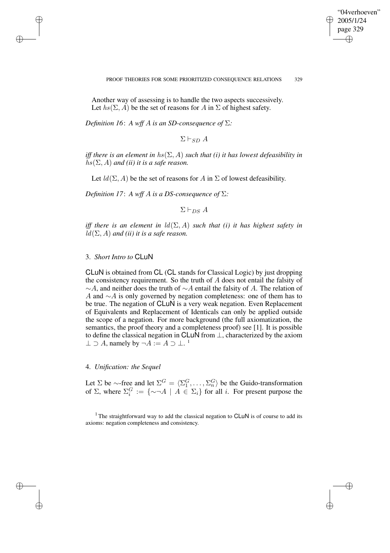✐

### PROOF THEORIES FOR SOME PRIORITIZED CONSEQUENCE RELATIONS 329

Another way of assessing is to handle the two aspects successively. Let  $hs(\Sigma, A)$  be the set of reasons for A in  $\Sigma$  of highest safety.

*Definition* 16: *A wff A is an SD-consequence of*  $\Sigma$ *:* 

 $\Sigma \vdash_{SD} A$ 

*iff* there is an element in  $hs(\Sigma, A)$  such that (i) it has lowest defeasibility in  $hs(\Sigma, A)$  *and (ii) it is a safe reason.* 

Let  $ld(\Sigma, A)$  be the set of reasons for A in  $\Sigma$  of lowest defeasibility.

*Definition* 17: *A wff A is a DS-consequence of*  $\Sigma$ *:* 

 $\Sigma \vdash_{DS} A$ 

*iff* there is an element in  $ld(\Sigma, A)$  such that *(i)* it has highest safety in  $ld(\Sigma, A)$  *and (ii) it is a safe reason.* 

# 3. *Short Intro to* CLuN

✐

✐

✐

✐

CLuN is obtained from CL (CL stands for Classical Logic) by just dropping the consistency requirement. So the truth of  $A$  does not entail the falsity of ∼A, and neither does the truth of ∼A entail the falsity of A. The relation of A and  $\sim$ A is only governed by negation completeness: one of them has to be true. The negation of CLuN is a very weak negation. Even Replacement of Equivalents and Replacement of Identicals can only be applied outside the scope of a negation. For more background (the full axiomatization, the semantics, the proof theory and a completeness proof) see [1]. It is possible to define the classical negation in CLuN from ⊥, characterized by the axiom  $\perp \supset A$ , namely by  $\neg A := A \supset \perp$ .<sup>1</sup>

# 4. *Unification: the Sequel*

Let  $\Sigma$  be  $\sim$ -free and let  $\Sigma^G = \langle \Sigma_1^G, \ldots, \Sigma_n^G \rangle$  be the Guido-transformation of  $\Sigma$ , where  $\Sigma_i^G := {\set{\sim \neg A \mid A \in \Sigma_i}$  for all *i*. For present purpose the

<sup>1</sup> The straightforward way to add the classical negation to  $CLUN$  is of course to add its axioms: negation completeness and consistency.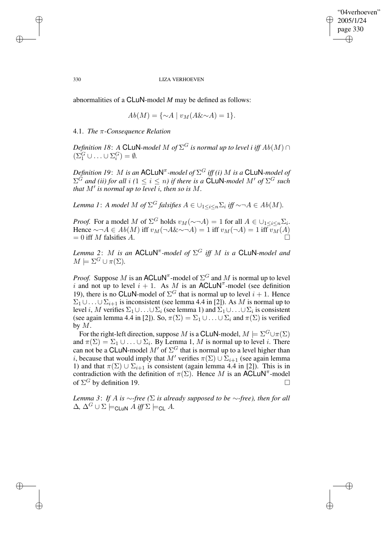✐

### 330 LIZA VERHOEVEN

abnormalities of a CLuN-model *M* may be defined as follows:

$$
Ab(M) = \{ \sim A \mid v_M(A \& \sim A) = 1 \}.
$$

# 4.1. *The* π*-Consequence Relation*

*Definition 18*: *A* CLuN-model M of  $\Sigma^G$  is normal up to level i iff  $Ab(M)$   $\cap$  $(\Sigma_1^G \cup \ldots \cup \Sigma_i^G) = \emptyset.$ 

*Definition 19: M is an*  $\mathsf{ACLuN}^\pi$ -model of  $\Sigma^G$  iff (i)  $M$  is a  $\mathsf{CLuN}\text{-}model$  of  $\Sigma^G$  and (ii) for all  $i$  ( $1 \leq i \leq n$ ) if there is a CLuN-model  $M'$  of  $\Sigma^G$  such *that*  $M'$  *is normal up to level i, then so is*  $M$ *.* 

*Lemma* 1: *A model* M of  $\Sigma^G$  *falsifies*  $A \in \bigcup_{1 \leq i \leq n} \Sigma_i$  *iff*  $\sim \neg A \in Ab(M)$ *.* 

*Proof.* For a model M of  $\Sigma^G$  holds  $v_M(\sim \neg A) = 1$  for all  $A \in \bigcup_{1 \leq i \leq n} \Sigma_i$ . Hence  $\sim \neg A \in Ab(M)$  iff  $v_M(\neg A \& \sim \neg A) = 1$  iff  $v_M(\neg A) = 1$  iff  $v_M(A)$  $= 0$  iff M falsifies A.

 $L$ *emma* 2: M is an ACLuN<sup> $π$ </sup>-model of  $\Sigma$ <sup>G</sup> iff M is a CLuN-model and  $M \models \Sigma^G \cup \pi(\Sigma)$ .

*Proof.* Suppose M is an ACLUN<sup> $^{\pi}$ </sup>-model of  $\Sigma^G$  and M is normal up to level i and not up to level  $i + 1$ . As M is an ACLUN<sup>T</sup>-model (see definition 19), there is no CLuN-model of  $\Sigma^G$  that is normal up to level  $i + 1$ . Hence  $\Sigma_1 \cup \ldots \cup \Sigma_{i+1}$  is inconsistent (see lemma 4.4 in [2]). As M is normal up to level i, M verifies  $\Sigma_1 \cup \ldots \cup \Sigma_i$  (see lemma 1) and  $\Sigma_1 \cup \ldots \cup \Sigma_i$  is consistent (see again lemma 4.4 in [2]). So,  $\pi(\Sigma) = \Sigma_1 \cup ... \cup \Sigma_i$  and  $\pi(\Sigma)$  is verified by  $M$ .

For the right-left direction, suppose M is a CLuN-model,  $M \models \Sigma^G \cup \pi(\Sigma)$ and  $\pi(\Sigma) = \Sigma_1 \cup \ldots \cup \Sigma_i$ . By Lemma 1, M is normal up to level i. There can not be a CLuN-model  $M'$  of  $\Sigma^G$  that is normal up to a level higher than *i*, because that would imply that M' verifies  $\pi(\Sigma) \cup \Sigma_{i+1}$  (see again lemma 1) and that  $\pi(\Sigma) \cup \Sigma_{i+1}$  is consistent (again lemma 4.4 in [2]). This is in contradiction with the definition of  $\pi(\Sigma)$ . Hence M is an ACLuN<sup>T</sup>-model of  $\Sigma^G$  by definition 19.

*Lemma* 3: *If A is*  $\sim$ *-free* ( $\Sigma$  *is already supposed to be*  $\sim$ *-free*), *then for all*  $\Delta$ ,  $\Delta^G \cup \Sigma \models_{\text{CLUN}} A \text{ iff } \Sigma \models_{\text{CL}} A$ .

✐

✐

✐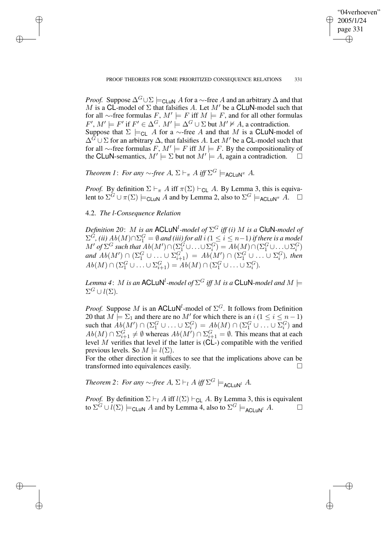✐

*Proof.* Suppose  $\Delta^G \cup \Sigma \models_{\text{CLUN}} A$  for a ∼-free A and an arbitrary  $\Delta$  and that M is a CL-model of  $\Sigma$  that falsifies A. Let M' be a CLuN-model such that for all ∼-free formulas  $F, M' \models F$  iff  $M \models F$ , and for all other formulas  $F', M' \models F'$  if  $F' \in \Delta^G$ .  $M' \models \Delta^G \cup \Sigma$  but  $M' \not\vDash A$ , a contradiction. Suppose that  $\Sigma \models_{CL} A$  for a ∼-free A and that M is a CLuN-model of  $\Delta^G \cup \Sigma$  for an arbitrary  $\Delta$ , that falsifies A. Let M' be a CL-model such that for all ∼-free formulas  $F, M' \models F$  iff  $M \models F$ . By the compositionality of the CLuN-semantics,  $M' \models \Sigma$  but not  $M' \models A$ , again a contradiction.  $\Box$ 

*Theorem 1: For any*  $\sim$ -free A,  $\Sigma \vdash_{\pi} A$  *iff*  $\Sigma^G \models_{\mathsf{ACLUN}}^{\pi} A$ .

*Proof.* By definition  $\Sigma \vdash_{\pi} A$  iff  $\pi(\Sigma) \vdash_{\mathsf{CL}} A$ . By Lemma 3, this is equivalent to  $\Sigma^{\tilde{G}} \cup \pi(\Sigma) \models_{\mathsf{CLUN}} A$  and by Lemma 2, also to  $\Sigma^G \models_{\mathsf{ACLUN}} \pi \tilde{A}$ .  $\Box$ 

4.2. *The l-Consequence Relation*

✐

✐

✐

✐

Definition 20:  $M$  is an  $\mathsf{ACLUN}^l$ -model of  $\Sigma^G$  iff (i)  $M$  is a  $\mathsf{CluN}\textrm{-}model$  of  $\Sigma^G$ , (ii)  $Ab(M) \cap \Sigma^G_1 = \emptyset$  and (iii) for all  $i$  ( $1 \leq i \leq n-1$ ) if there is a model  $M'$  of  $\Sigma^G$  such that  $Ab(M') \cap (\Sigma_1^G \cup \ldots \cup \Sigma_i^G) = Ab(M) \cap (\Sigma_1^G \cup \ldots \cup \Sigma_i^G)$ and  $Ab(M') \cap (\Sigma_1^G \cup \ldots \cup \Sigma_{i+1}^G) = Ab(M') \cap (\Sigma_1^G \cup \ldots \cup \Sigma_i^G)$ , then  $Ab(M) \cap (\Sigma_1^G \cup ... \cup \Sigma_{i+1}^G) = Ab(M) \cap (\Sigma_1^G \cup ... \cup \Sigma_i^G).$ 

Lemma 4:  $M$  is an <code>ACLuN $^l$ -model</code> of  $\Sigma^G$  iff  $M$  is a <code>CLuN-model</code> and  $M \models$  $\Sigma^G \cup l(\Sigma)$ .

*Proof.* Suppose M is an ACLUN<sup>l</sup>-model of  $\Sigma$ <sup>G</sup>. It follows from Definition 20 that  $M \models \Sigma_1$  and there are no  $M'$  for which there is an  $i$  ( $1 \le i \le n-1$ ) such that  $Ab(M') \cap (\Sigma_1^G \cup ... \cup \Sigma_i^G) = Ab(M) \cap (\Sigma_1^G \cup ... \cup \Sigma_i^G)$  and  $Ab(M) \cap \Sigma_{i+1}^G \neq \emptyset$  whereas  $Ab(M') \cap \Sigma_{i+1}^G = \emptyset$ . This means that at each level M verifies that level if the latter is ( $CL$ -) compatible with the verified previous levels. So  $M \models l(\Sigma)$ .

For the other direction it suffices to see that the implications above can be transformed into equivalences easily.

*Theorem* 2: *For any*  $\sim$ -free A,  $\Sigma \vdash_l A$  iff  $\Sigma^G \models_{\mathsf{ACLUN}^l} A$ .

*Proof.* By definition  $\Sigma \vdash_l A$  iff  $l(\Sigma) \vdash_{\text{Cl}} A$ . By Lemma 3, this is equivalent to  $\Sigma^G \cup l(\Sigma) \models_{\mathsf{CLUN}} A$  and by Lemma 4, also to  $\Sigma^G \models_{\mathsf{ACLUN}^l} A$ .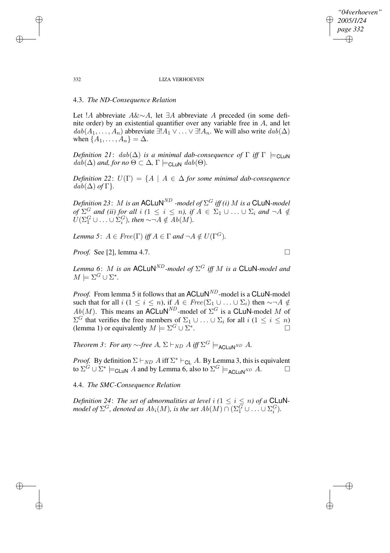## *"04verhoeven" 2005/1/24 page 332* ✐ ✐

✐

✐

### 332 LIZA VERHOEVEN

# 4.3. *The ND-Consequence Relation*

Let !A abbreviate A&∼A, let ∃A abbreviate A preceded (in some definite order) by an existential quantifier over any variable free in A, and let  $dab(A_1, \ldots, A_n)$  abbreviate  $\exists! A_1 \vee \ldots \vee \exists! A_n$ . We will also write  $dab(\Delta)$ when  $\{A_1, \ldots, A_n\} = \Delta$ .

*Definition* 21:  $dab(\Delta)$  *is a minimal dab-consequence of*  $\Gamma$  *iff*  $\Gamma \models$ <sub>CLUN</sub>  $dab(\Delta)$  *and, for no*  $\Theta \subset \Delta$ ,  $\Gamma \models_{\text{CLUN}} dab(\Theta)$ .

*Definition* 22:  $U(\Gamma) = \{A \mid A \in \Delta \}$  *for some minimal dab-consequence*  $dab(\Delta)$  *of*  $\Gamma$ *}*.

*Definition* 23: M *is an*  $\mathsf{ACLuN}^{ND}$  *-model of*  $\Sigma^G$  *iff (i)* M *is a*  $\mathsf{CLuN-}$  *model*  $f \circ f \circ f$  *and (ii) for all i (*1  $\leq i \leq n$ ), if  $A \in \Sigma_1 \cup ... \cup \Sigma_i$  *and*  $\neg A \notin$  $U(\Sigma_1^G \cup \ldots \cup \Sigma_i^G)$ , then  $\sim \neg A \notin Ab(M)$ .

*Lemma* 5:  $A \in \text{Free}(\Gamma)$  *iff*  $A \in \Gamma$  *and*  $\neg A \notin U(\Gamma^G)$ *.* 

*Proof.* See [2], lemma 4.7. □

*Lemma* 6: M *is an*  $\mathsf{ACLuN}^{ND}$ *-model of*  $\Sigma^G$  *iff* M *is a*  $\mathsf{CLuN-}$ *model and*  $M \models \Sigma^G \cup \Sigma^*$ .

*Proof.* From lemma 5 it follows that an  $ACLuN<sup>ND</sup>$ -model is a  $CLuN-model$ such that for all  $i$  ( $1 \le i \le n$ ), if  $A \in Free(\Sigma_1 \cup ... \cup \Sigma_i)$  then  $\sim \neg A \notin$  $Ab(M)$ . This means an ACLuN<sup>ND</sup>-model of  $\Sigma^G$  is a CLuN-model M of  $\Sigma^G$  that verifies the free members of  $\Sigma_1 \cup \ldots \cup \Sigma_i$  for all  $i$   $(1 \leq i \leq n)$ (lemma 1) or equivalently  $M \models \Sigma^G \cup \Sigma^*$ .

*Theorem* 3: *For any*  $\sim$ -free A,  $\Sigma \vdash_{ND} A$  *iff*  $\Sigma^G \models_{\mathsf{ACLUN}^{ND}} A$ .

*Proof.* By definition  $\Sigma \vdash_{ND} A$  iff  $\Sigma^* \vdash_{CL} A$ . By Lemma 3, this is equivalent to  $\Sigma^{\tilde{G}} \cup \Sigma^* \models_{\text{CLUN}} A$  and by Lemma 6, also to  $\Sigma^G \models_{\text{ACLUN}^{ND}} A$ .

4.4. *The SMC-Consequence Relation*

*Definition* 24: The set of abnormalities at level i  $(1 \leq i \leq n)$  of a CLuNmodel of  $\Sigma^G$ , denoted as  $Ab_i(M)$ , is the set  $Ab(M) \cap (\Sigma^G_1 \cup \ldots \cup \Sigma^G_i)$ .

✐

✐

✐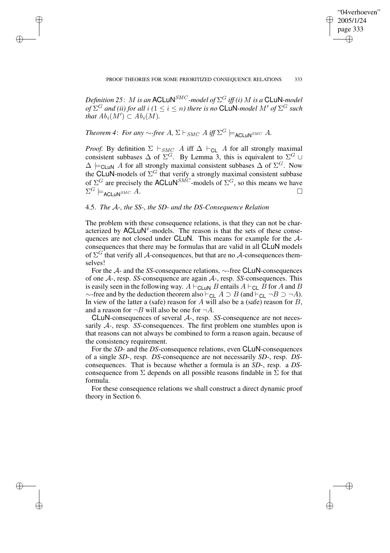✐

 $D$ efinition 25:  $M$  is an <code>ACLuN</code><sup>SMC</sup> -model of  $\Sigma^G$  iff (i)  $M$  is a <code>CLuN-model</code>  $f^{G}$  *and (ii) for all i (*1  $\leq$  *i*  $\leq$  *n) there is no* CLuN-model M' of  $\Sigma^G$  such *that*  $Ab_i(M') \subset Ab_i(M)$ .

# *Theorem* 4: *For any*  $\sim$ -free A,  $\Sigma \vdash_{SMC} A$  *iff*  $\Sigma^G \models_{\mathsf{ACLUN}^{SMC}} A$ .

✐

✐

✐

✐

*Proof.* By definition  $\Sigma \vdash_{SMC} A$  iff  $\Delta \vdash_{CL} A$  for all strongly maximal consistent subbases  $\Delta$  of  $\Sigma^G$ . By Lemma 3, this is equivalent to  $\Sigma^G \cup$  $\Delta \models_{\text{CLuN}} A$  for all strongly maximal consistent subbases  $\Delta$  of  $\Sigma^G$ . Now the CLuN-models of  $\Sigma^G$  that verify a strongly maximal consistent subbase of  $\Sigma^G$  are precisely the ACLuN<sup>SMC</sup>-models of  $\Sigma^G$ , so this means we have  $\Sigma^G \models_{\mathsf{ACLUN}^{SMC}} A.$ 

# 4.5. *The* A*-, the SS-, the SD- and the DS-Consequence Relation*

The problem with these consequence relations, is that they can not be characterized by  $\text{ACLuN}^x$ -models. The reason is that the sets of these consequences are not closed under CLuN. This means for example for the Aconsequences that there may be formulas that are valid in all CLuN models of  $\Sigma^G$  that verify all A-consequences, but that are no A-consequences themselves!

For the A- and the *SS*-consequence relations, ∼-free CLuN-consequences of one A-, resp. *SS*-consequence are again A-, resp. *SS*-consequences. This is easily seen in the following way.  $A \vdash_{\text{CLuN}} B$  entails  $A \vdash_{\text{CL}} B$  for A and B  $\sim$ -free and by the deduction theorem also  $\vdash_{\mathsf{CL}} A \supseteq B$  (and  $\vdash_{\mathsf{CL}} \neg B \supseteq \neg A$ ). In view of the latter a (safe) reason for A will also be a (safe) reason for  $B$ , and a reason for  $\neg B$  will also be one for  $\neg A$ .

CLuN-consequences of several A-, resp. *SS*-consequence are not necessarily A-, resp. *SS*-consequences. The first problem one stumbles upon is that reasons can not always be combined to form a reason again, because of the consistency requirement.

For the *SD*- and the *DS*-consequence relations, even CLuN-consequences of a single *SD*-, resp. *DS*-consequence are not necessarily *SD*-, resp. *DS*consequences. That is because whether a formula is an *SD*-, resp. a *DS*consequence from  $\Sigma$  depends on all possible reasons findable in  $\Sigma$  for that formula.

For these consequence relations we shall construct a direct dynamic proof theory in Section 6.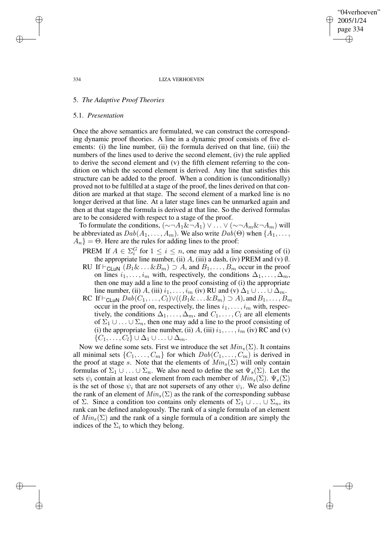"04verhoeven" 2005/1/24 page 334 ✐ ✐

✐

✐

### 334 LIZA VERHOEVEN

# 5. *The Adaptive Proof Theories*

### 5.1. *Presentation*

Once the above semantics are formulated, we can construct the corresponding dynamic proof theories. A line in a dynamic proof consists of five elements: (i) the line number, (ii) the formula derived on that line, (iii) the numbers of the lines used to derive the second element, (iv) the rule applied to derive the second element and (v) the fifth element referring to the condition on which the second element is derived. Any line that satisfies this structure can be added to the proof. When a condition is (unconditionally) proved not to be fulfilled at a stage of the proof, the lines derived on that condition are marked at that stage. The second element of a marked line is no longer derived at that line. At a later stage lines can be unmarked again and then at that stage the formula is derived at that line. So the derived formulas are to be considered with respect to a stage of the proof.

To formulate the conditions,  $(\sim \neg A_1 \& \neg A_1) \vee \dots \vee (\sim \neg A_m \& \neg A_m)$  will be abbreviated as  $Dab(A_1, \ldots, A_m)$ . We also write  $Dab(\Theta)$  when  $\{A_1, \ldots, A_m\}$ .  $A_n$ } = Θ. Here are the rules for adding lines to the proof:

- PREM If  $A \in \Sigma_i^G$  for  $1 \leq i \leq n$ , one may add a line consisting of (i) the appropriate line number, (ii)  $A$ , (iii) a dash, (iv) PREM and (v)  $\emptyset$ .
- RU If  $\vdash_{\text{CLuN}} (B_1 \& \ldots \& B_m) \supset A$ , and  $B_1, \ldots, B_m$  occur in the proof on lines  $i_1, \ldots, i_m$  with, respectively, the conditions  $\Delta_1, \ldots, \Delta_m$ , then one may add a line to the proof consisting of (i) the appropriate line number, (ii) A, (iii)  $i_1, \ldots, i_m$  (iv) RU and (v)  $\Delta_1 \cup \ldots \cup \Delta_m$ .
- RC If  $\vdash_{\mathsf{CLuN}} \mathit{Dab}(C_1, \ldots, C_l) \vee ((B_1 \& \ldots \& B_m) \supset A)$ , and  $B_1, \ldots, B_m$ occur in the proof on, respectively, the lines  $i_1, \ldots, i_m$  with, respectively, the conditions  $\Delta_1, \ldots, \Delta_m$ , and  $C_1, \ldots, C_l$  are all elements of  $\Sigma_1 \cup \ldots \cup \Sigma_n$ , then one may add a line to the proof consisting of (i) the appropriate line number, (ii)  $A$ , (iii)  $i_1, \ldots, i_m$  (iv) RC and (v)  $\{C_1,\ldots,C_l\}\cup\Delta_1\cup\ldots\cup\Delta_m.$

Now we define some sets. First we introduce the set  $Min_s(\Sigma)$ . It contains all minimal sets  $\{C_1, \ldots, C_m\}$  for which  $Dab(C_1, \ldots, C_m)$  is derived in the proof at stage s. Note that the elements of  $Min_s(\Sigma)$  will only contain formulas of  $\Sigma_1 \cup \ldots \cup \Sigma_n$ . We also need to define the set  $\Psi_s(\Sigma)$ . Let the sets  $\psi_i$  contain at least one element from each member of  $Min_s(\Sigma)$ .  $\Psi_s(\Sigma)$ is the set of those  $\psi_i$  that are not supersets of any other  $\psi_i$ . We also define the rank of an element of  $Min_s(\Sigma)$  as the rank of the corresponding subbase of Σ. Since a condition too contains only elements of  $\Sigma_1 \cup ... \cup \Sigma_n$ , its rank can be defined analogously. The rank of a single formula of an element of  $Min_s(\Sigma)$  and the rank of a single formula of a condition are simply the indices of the  $\Sigma_i$  to which they belong.

✐

✐

✐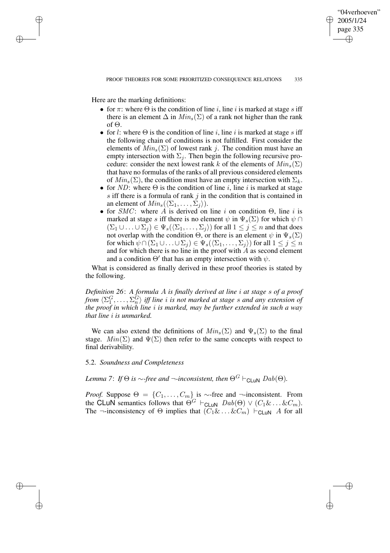✐

Here are the marking definitions:

✐

✐

✐

✐

- for  $\pi$ : where  $\Theta$  is the condition of line i, line i is marked at stage s iff there is an element  $\Delta$  in  $Min_s(\Sigma)$  of a rank not higher than the rank of Θ.
- for l: where  $\Theta$  is the condition of line i, line i is marked at stage s iff the following chain of conditions is not fulfilled. First consider the elements of  $Min_s(\Sigma)$  of lowest rank j. The condition must have an empty intersection with  $\Sigma_i$ . Then begin the following recursive procedure: consider the next lowest rank k of the elements of  $Min_s(\Sigma)$ that have no formulas of the ranks of all previous considered elements of  $Min_s(\Sigma)$ , the condition must have an empty intersection with  $\Sigma_k$ .
- for ND: where  $\Theta$  is the condition of line i, line i is marked at stage s iff there is a formula of rank  $j$  in the condition that is contained in an element of  $Min_s(\langle \Sigma_1, \ldots, \Sigma_i \rangle)$ .
- for  $SMC$ : where A is derived on line i on condition  $\Theta$ , line i is marked at stage s iff there is no element  $\psi$  in  $\Psi_s(\Sigma)$  for which  $\psi \cap$  $(\Sigma_1 \cup \ldots \cup \Sigma_i) \in \Psi_s(\langle \Sigma_1, \ldots, \Sigma_i \rangle)$  for all  $1 \leq j \leq n$  and that does not overlap with the condition  $\Theta$ , or there is an element  $\psi$  in  $\Psi_s(\Sigma)$ for which  $\psi \cap (\Sigma_1 \cup ... \cup \Sigma_j) \in \Psi_s(\langle \Sigma_1, ..., \Sigma_j \rangle)$  for all  $1 \leq j \leq n$ and for which there is no line in the proof with  $\ddot{A}$  as second element and a condition  $\Theta'$  that has an empty intersection with  $\psi$ .

What is considered as finally derived in these proof theories is stated by the following.

*Definition 26*: *A formula* A *is finally derived at line* i *at stage* s *of a proof from*  $\langle \Sigma_1^G, \ldots, \Sigma_n^G \rangle$  *iff line i is not marked at stage s and any extension of the proof in which line* i *is marked, may be further extended in such a way that line* i *is unmarked.*

We can also extend the definitions of  $Min_s(\Sigma)$  and  $\Psi_s(\Sigma)$  to the final stage.  $Min(\Sigma)$  and  $\Psi(\Sigma)$  then refer to the same concepts with respect to final derivability.

### 5.2. *Soundness and Completeness*

# *Lemma* 7: *If*  $\Theta$  *is*  $\sim$ -*free and*  $\neg$ -*inconsistent, then*  $\Theta$ <sup>*G*</sup>  $\vdash$ <sub>*CLUN</sub>*  $Dab(\Theta)$ *.*</sub>

*Proof.* Suppose  $\Theta = \{C_1, \ldots, C_m\}$  is ∼-free and ¬-inconsistent. From the CLuN semantics follows that  $\Theta^G$   $\vdash_{\mathsf{CLUN}}$   $Dab(\Theta) \vee (C_1 \& \dots \& C_m)$ . The  $\neg$ -inconsistency of  $\Theta$  implies that  $(C_1 \& \dots \& C_m) \vdash_{\mathsf{CLUN}} A$  for all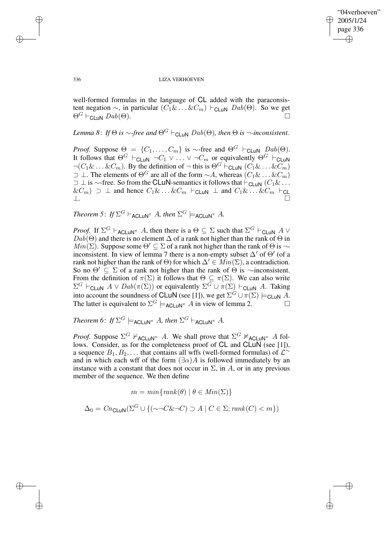✐

### 336 LIZA VERHOEVEN

well-formed formulas in the language of CL added with the paraconsistent negation  $\sim$ , in particular  $(C_1 \& \dots \& C_m) \vdash_{\text{CLUN}} Dab(\Theta)$ . So we get  $\Theta^G \vdash_{\mathsf{CLUN}} \mathit{Dab}(\Theta).$ 

*Lemma* 8: *If*  $\Theta$  *is*  $\sim$ *-free and*  $\Theta$ <sup>*G*</sup>  $\vdash$ <sub>*CLUN Dab*( $\Theta$ *), then*  $\Theta$  *is*  $\neg$ *-inconsistent.*</sub>

*Proof.* Suppose  $\Theta = \{C_1, \ldots, C_m\}$  is ∼-free and  $\Theta^G$   $\vdash_{\mathsf{CLuN}}$   $Dab(\Theta)$ . It follows that  $\Theta^G \vdash_{\mathsf{CLuN}} \neg C_1 \vee \ldots \vee \neg C_m$  or equivalently  $\Theta^G \vdash_{\mathsf{CLuN}}$  $\neg(C_1 \& \dots \& C_m)$ . By the definition of  $\neg$  this is  $\Theta^G \vdash_{\mathsf{CLUN}} (C_1 \& \dots \& C_m)$ ⊃ ⊥. The elements of  $\Theta^G$  are all of the form  $\sim A$ , whereas  $(C_1 \& \ldots \& C_m)$  $\supset \bot$  is ∼-free. So from the CLuN-semantics it follows that  $\vdash_{\mathsf{CLUN}} (C_1 \& \dots)$  $\&C_m$ )  $\supset \perp$  and hence  $C_1 \& \ldots \& C_m \vdash_{\mathsf{CLUN}} \perp \mathsf{and} \ C_1 \& \ldots \& C_m \vdash_{\mathsf{CL}}$ ⊥.

*Theorem* 5: *If*  $\Sigma^G \vdash_{\mathsf{ACLUN}}^\pi A$ *, then*  $\Sigma^G \models_{\mathsf{ACLUN}}^\pi A$ *.* 

*Proof.* If  $\Sigma^G \vdash_{\mathsf{ACLUN}^\pi} A$ , then there is a  $\Theta \subseteq \Sigma$  such that  $\Sigma^G \vdash_{\mathsf{CLUN}} A \vee$  $Dab(\Theta)$  and there is no element  $\Delta$  of a rank not higher than the rank of  $\Theta$  in  $Min(\Sigma)$ . Suppose some  $\Theta' \subseteq \Sigma$  of a rank not higher than the rank of  $\Theta$  is  $\neg$ inconsistent. In view of lemma 7 there is a non-empty subset  $\Delta'$  of  $\Theta'$  (of a rank not higher than the rank of  $\Theta$ ) for which  $\Delta' \in \text{Min}(\Sigma)$ , a contradiction. So no  $\Theta' \subseteq \Sigma$  of a rank not higher than the rank of  $\Theta$  is  $\neg$ -inconsistent. From the definition of  $\pi(\Sigma)$  it follows that  $\Theta \subseteq \pi(\Sigma)$ . We can also write  $\Sigma^G$   $\vdash_{\mathsf{CLuN}}$   $A \lor \mathit{Dab}(\pi(\Sigma))$  or equivalently  $\Sigma^G \cup \pi(\Sigma)$   $\vdash_{\mathsf{CLuN}}$  A. Taking into account the soundness of CLuN (see [1]), we get  $\Sigma^G \cup \pi(\Sigma) \models_{\mathsf{CLuN}} A$ . The latter is equivalent to  $\Sigma^G \models_{\sf ACLuN}^{\pi} A$  in view of lemma 2.

*Theorem* 6: *If*  $\Sigma^G \models$  ACLuN<sup>π</sup> A, then  $\Sigma^G \vdash$  ACLuN<sup>π</sup> A.

*Proof.* Suppose  $\Sigma^G$   $\nvdash_{\mathsf{ACLUN}^{\pi}} A$ . We shall prove that  $\Sigma^G$   $\nvdash_{\mathsf{ACLUN}^{\pi}} A$  follows. Consider, as for the completeness proof of CL and CLuN (see [1]), a sequence  $B_1, B_2, \ldots$  that contains all wffs (well-formed formulas) of  $\mathcal{L}^{\sim}$ and in which each wff of the form  $(\exists \alpha) A$  is followed immediately by an instance with a constant that does not occur in  $\Sigma$ , in A, or in any previous member of the sequence. We then define

$$
m = \min\{\text{rank}(\theta) \mid \theta \in \text{Min}(\Sigma)\}
$$

$$
\Delta_0 = \text{Cn}_{\text{CLUN}}(\Sigma^G \cup \{ (\sim \neg C \& \neg C) \supset A \mid C \in \Sigma; \text{rank}(C) < m \})
$$

✐

✐

✐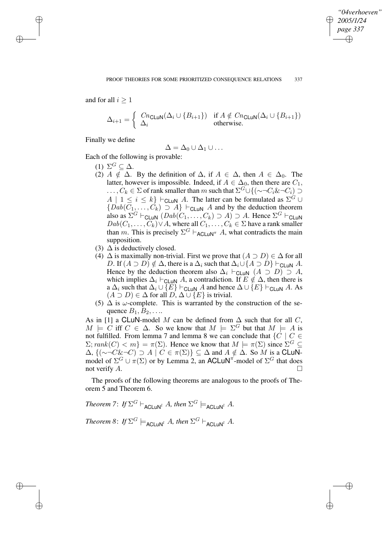✐

and for all  $i > 1$ 

✐

✐

✐

✐

$$
\Delta_{i+1} = \begin{cases} Cn_{\text{CLUN}}(\Delta_i \cup \{B_{i+1}\}) & \text{if } A \notin Cn_{\text{CLUN}}(\Delta_i \cup \{B_{i+1}\})\\ \Delta_i & \text{otherwise.} \end{cases}
$$

Finally we define

$$
\Delta=\Delta_0\cup\Delta_1\cup\ldots
$$

Each of the following is provable:

- (1)  $\Sigma^G \subseteq \Delta$ .
- (2)  $A \notin \Delta$ . By the definition of  $\Delta$ , if  $A \in \Delta$ , then  $A \in \Delta_0$ . The latter, however is impossible. Indeed, if  $A \in \Delta_0$ , then there are  $C_1$ ,  $\ldots, C_k \in \Sigma$  of rank smaller than m such that  $\Sigma^G \cup \{(\sim \neg C_i \& \neg C_i) \supset$  $A \mid 1 \leq i \leq k$   $\vdash$  CLuN A. The latter can be formulated as  $\Sigma^G \cup$  ${Dab(C_1, \ldots, C_k) \supseteq A} \vdash_{\text{CLuN}} A$  and by the deduction theorem also as  $\Sigma^G \vdash_{\mathsf{CLuN}} (Dab(C_1, \ldots, C_k) \supset A) \supset A$ . Hence  $\Sigma^G \vdash_{\mathsf{CLuN}}$  $Dab(C_1, \ldots, C_k) \vee A$ , where all  $C_1, \ldots, C_k \in \Sigma$  have a rank smaller than m. This is precisely  $\Sigma^G \vdash_{\mathsf{ACLUN}^{\pi}} A$ , what contradicts the main supposition.
- (3)  $\Delta$  is deductively closed.
- (4)  $\Delta$  is maximally non-trivial. First we prove that  $(A \supset D) \in \Delta$  for all D. If  $(A \supset D) \notin \Delta$ , there is a  $\Delta_i$  such that  $\Delta_i \cup \{A \supset D\} \vdash_{\text{CLUN}} A$ . Hence by the deduction theorem also  $\Delta_i \vdash_{\mathsf{CLUN}} (A \supset D) \supset A$ , which implies  $\Delta_i \vdash_{\text{CLuN}} A$ , a contradiction. If  $E \notin \Delta$ , then there is a  $\Delta_i$  such that  $\Delta_i \cup \{E\} \vdash_{\text{CLUN}} A$  and hence  $\Delta \cup \{E\} \vdash_{\text{CLUN}} A$ . As  $(A \supset D) \in \Delta$  for all  $D, \Delta \cup \{E\}$  is trivial.
- (5)  $\Delta$  is  $\omega$ -complete. This is warranted by the construction of the sequence  $B_1, B_2, \ldots$

As in [1] a CLuN-model M can be defined from  $\Delta$  such that for all C,  $M \models C$  iff  $C \in \Delta$ . So we know that  $M \models \Sigma^G$  but that  $M \models A$  is not fulfilled. From lemma 7 and lemma 8 we can conclude that  $\{C \mid C \in$  $\Sigma$ ;  $rank(C) < m$ } =  $\pi(\Sigma)$ . Hence we know that  $M \models \pi(\Sigma)$  since  $\Sigma^G \subseteq$  $\Delta$ ,  $\{(\sim \neg C\& \neg C) \supset A \mid C \in \pi(\Sigma)\}\subseteq \Delta$  and  $A \notin \Delta$ . So M is a CLuNmodel of  $\Sigma^G \cup \pi(\Sigma)$  or by Lemma 2, an ACLuN<sup> $\pi$ </sup>-model of  $\Sigma^G$  that does not verify  $A$ .

The proofs of the following theorems are analogous to the proofs of Theorem 5 and Theorem 6.

*Theorem* 7: *If*  $\Sigma^G \vdash_{\mathsf{ACLuN}^l} A$ *, then*  $\Sigma^G \models_{\mathsf{ACLuN}^l} A$ *.*  $Theorem 8: If \Sigma^G \models_{\mathsf{ACLUN}^l} A, then \Sigma^G \vdash_{\mathsf{ACLUN}^l} A$ .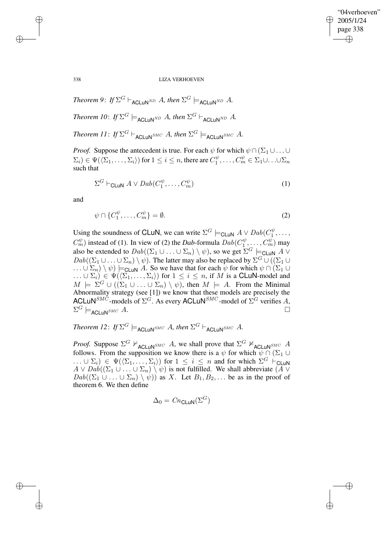✐

338 LIZA VERHOEVEN

*Theorem 9*: *If*  $\Sigma^G \vdash_{\mathsf{ACLUN}^{ND}} A$ *, then*  $\Sigma^G \models_{\mathsf{ACLUN}^{ND}} A$ *.* 

*Theorem 10: If*  $\Sigma^G \models_{\mathsf{ACLUN}^{ND}} A$ , *then*  $\Sigma^G \vdash_{\mathsf{ACLUN}^{ND}} A$ .

*Theorem 11*: *If*  $\Sigma^G \vdash_{\mathsf{ACLuN}^{SMC}} A$ *, then*  $\Sigma^G \models_{\mathsf{ACLuN}^{SMC}} A$ *.* 

*Proof.* Suppose the antecedent is true. For each  $\psi$  for which  $\psi \cap (\Sigma_1 \cup \dots \cup \Sigma_n)$  $(\Sigma_i)\in \Psi(\langle \Sigma_1,\ldots,\Sigma_i\rangle)$  for  $1\leq i\leq n,$  there are  $C^\psi_1,\ldots,C^\psi_m\in \Sigma_1\cup\ldots\cup\Sigma_n$ such that

$$
\Sigma^G \vdash_{\mathsf{CLuN}} A \lor \mathit{Dab}(C_1^\psi, \dots, C_m^\psi) \tag{1}
$$

and

$$
\psi \cap \{C_1^{\psi}, \dots, C_m^{\psi}\} = \emptyset. \tag{2}
$$

Using the soundness of CLuN, we can write  $\Sigma^G \models_{\mathsf{CLuN}} A \lor \mathit{Dab}(C_1^{\psi}, \dots,$  $C_m^{\psi}$ ) instead of (1). In view of (2) the *Dab*-formula  $Dab(C_1^{\psi}, \ldots, C_m^{\psi})$  may also be extended to  $Dab((\Sigma_1 \cup \ldots \cup \Sigma_n) \setminus \psi)$ , so we get  $\Sigma^G \models_{\mathsf{CLuN}} A \vee$  $Dab((\Sigma_1 \cup ... \cup \Sigma_n) \setminus \psi)$ . The latter may also be replaced by  $\Sigma^G \cup ((\Sigma_1 \cup ... \cup \Sigma_n) \setminus \psi)$ .  $\ldots \cup \Sigma_n) \setminus \psi$   $\models_{\mathsf{CLuN}} A$ . So we have that for each  $\psi$  for which  $\psi \cap (\Sigma_1 \cup$  $\ldots \cup \Sigma_i) \in \Psi(\langle \Sigma_1, \ldots, \Sigma_i \rangle)$  for  $1 \leq i \leq n$ , if M is a **CLuN-model and**  $M \models \Sigma^G \cup ((\Sigma_1 \cup \ldots \cup \Sigma_n) \setminus \psi)$ , then  $M \models A$ . From the Minimal Abnormality strategy (see [1]) we know that these models are precisely the ACLuN<sup>SMC</sup>-models of  $\Sigma$ <sup>G</sup>. As every ACLuN<sup>SMC</sup>-model of  $\Sigma$ <sup>G</sup> verifies A,  $\Sigma^G \models_{\mathsf{ACLuN}^{SMC}} A.$ 

*Theorem 12*: *If*  $\Sigma^G \models_{\mathsf{ACLUN}^{SMC}} A$ *, then*  $\Sigma^G \vdash_{\mathsf{ACLUN}^{SMC}} A$ *.* 

*Proof.* Suppose  $\Sigma^G$   $\nvdash_{\text{ACLUN}^{SMC}} A$ , we shall prove that  $\Sigma^G$   $\nvdash_{\text{ACLUN}^{SMC}} A$ follows. From the supposition we know there is a  $\psi$  for which  $\psi \cap (\Sigma_1 \cup$  $\ldots \cup \Sigma_i) \in \Psi(\langle \Sigma_1, \ldots, \Sigma_i \rangle)$  for  $1 \leq i \leq n$  and for which  $\Sigma^G \vdash_{\mathsf{CLuN}}$  $A \vee Dab((\Sigma_1 \cup \ldots \cup \Sigma_n) \setminus \psi)$  is not fulfilled. We shall abbreviate  $(A \vee$  $Dab((\Sigma_1 \cup \ldots \cup \Sigma_n) \setminus \psi))$  as X. Let  $B_1, B_2, \ldots$  be as in the proof of theorem 6. We then define

$$
\Delta_0 = \text{Cn}_{\text{CLuN}}(\Sigma^G)
$$

✐

✐

✐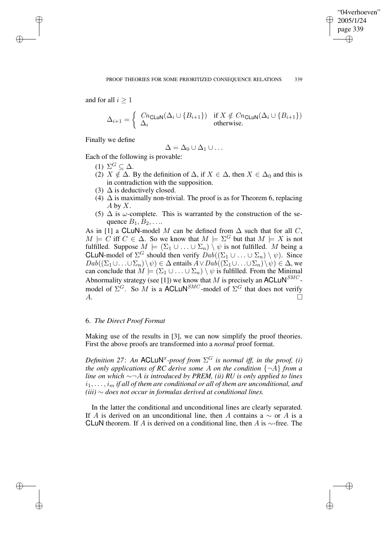✐

and for all  $i > 1$ 

✐

✐

✐

✐

$$
\Delta_{i+1} = \left\{ \begin{array}{ll} Cn_{\text{CLUN}}(\Delta_i \cup \{B_{i+1}\}) & \text{if } X \notin Cn_{\text{CLUN}}(\Delta_i \cup \{B_{i+1}\}) \\ \Delta_i & \text{otherwise.} \end{array} \right.
$$

Finally we define

$$
\Delta = \Delta_0 \cup \Delta_1 \cup \ldots
$$

Each of the following is provable:

- (1)  $\Sigma^G \subseteq \Delta$ .
- (2)  $X \notin \Delta$ . By the definition of  $\Delta$ , if  $X \in \Delta$ , then  $X \in \Delta_0$  and this is in contradiction with the supposition.
- (3)  $\Delta$  is deductively closed.
- (4)  $\Delta$  is maximally non-trivial. The proof is as for Theorem 6, replacing  $A$  by  $X$ .
- (5)  $\Delta$  is  $\omega$ -complete. This is warranted by the construction of the sequence  $B_1, B_2, \ldots$

As in [1] a CLuN-model M can be defined from  $\Delta$  such that for all C,  $M \models C$  iff  $C \in \Delta$ . So we know that  $M \models \Sigma^G$  but that  $M \models X$  is not fulfilled. Suppose  $M \models (\Sigma_1 \cup ... \cup \Sigma_n) \setminus \psi$  is not fulfilled. M being a **CLuN-model of**  $\Sigma^G$  should then verify  $Dab((\Sigma_1 \cup \ldots \cup \Sigma_n) \setminus \psi)$ . Since  $Dab((\Sigma_1\cup\ldots\cup\Sigma_n)\setminus\psi)\in\Delta$  entails  $A\vee Dab((\Sigma_1\cup\ldots\cup\Sigma_n)\setminus\psi)\in\Delta$ , we can conclude that  $M \models (\Sigma_1 \cup ... \cup \Sigma_n) \setminus \psi$  is fulfilled. From the Minimal Abnormality strategy (see [1]) we know that M is precisely an ACLuN<sup>SMC</sup>model of  $\Sigma^G$ . So M is a ACLUN<sup>SMC</sup>-model of  $\Sigma^G$  that does not verify  $A.$ 

# 6. *The Direct Proof Format*

Making use of the results in [3], we can now simplify the proof theories. First the above proofs are transformed into a *normal* proof format.

*Definition* 27: An ACLuN<sup>x</sup>-proof from  $\Sigma$ <sup>G</sup> *is normal iff, in the proof, (i) the only applications of RC derive some* A *on the condition* {¬A} *from a line on which* ∼¬A *is introduced by PREM, (ii) RU is only applied to lines*  $i_1, \ldots, i_m$  *if all of them are conditional or all of them are unconditional, and (iii)* ∼ *does not occur in formulas derived at conditional lines.*

In the latter the conditional and unconditional lines are clearly separated. If A is derived on an unconditional line, then A contains a  $\sim$  or A is a CLuN theorem. If A is derived on a conditional line, then A is  $\sim$ -free. The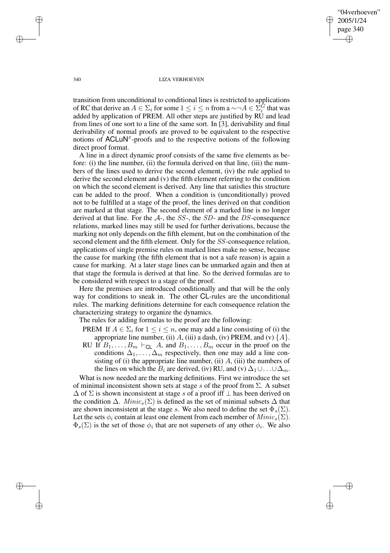"04verhoeven" 2005/1/24 page 340 ✐ ✐

✐

✐

340 LIZA VERHOEVEN

transition from unconditional to conditional lines is restricted to applications of RC that derive an  $A \in \Sigma_i$  for some  $1 \leq i \leq n$  from a  $\sim \neg A \in \Sigma_i^{\overline{G}}$  that was added by application of PREM. All other steps are justified by RU and lead from lines of one sort to a line of the same sort. In [3], derivability and final derivability of normal proofs are proved to be equivalent to the respective notions of  $\text{ACLuN}^x$ -proofs and to the respective notions of the following direct proof format.

A line in a direct dynamic proof consists of the same five elements as before: (i) the line number, (ii) the formula derived on that line, (iii) the numbers of the lines used to derive the second element, (iv) the rule applied to derive the second element and (v) the fifth element referring to the condition on which the second element is derived. Any line that satisfies this structure can be added to the proof. When a condition is (unconditionally) proved not to be fulfilled at a stage of the proof, the lines derived on that condition are marked at that stage. The second element of a marked line is no longer derived at that line. For the  $A<sub>-</sub>$ , the  $SS<sub>-</sub>$ , the  $SD<sub>-</sub>$  and the DS-consequence relations, marked lines may still be used for further derivations, because the marking not only depends on the fifth element, but on the combination of the second element and the fifth element. Only for the SS-consequence relation, applications of single premise rules on marked lines make no sense, because the cause for marking (the fifth element that is not a safe reason) is again a cause for marking. At a later stage lines can be unmarked again and then at that stage the formula is derived at that line. So the derived formulas are to be considered with respect to a stage of the proof.

Here the premises are introduced conditionally and that will be the only way for conditions to sneak in. The other CL-rules are the unconditional rules. The marking definitions determine for each consequence relation the characterizing strategy to organize the dynamics.

The rules for adding formulas to the proof are the following:

- PREM If  $A \in \Sigma_i$  for  $1 \leq i \leq n$ , one may add a line consisting of (i) the appropriate line number, (ii) A, (iii) a dash, (iv) PREM, and (v)  $\{A\}$ .
- RU If  $B_1, \ldots, B_m \vdash_{\text{CL}} A$ , and  $B_1, \ldots, B_m$  occur in the proof on the conditions  $\Delta_1, \ldots, \Delta_m$  respectively, then one may add a line consisting of (i) the appropriate line number, (ii)  $A$ , (iii) the numbers of the lines on which the  $B_i$  are derived, (iv) RU, and (v)  $\Delta_1 \cup \ldots \cup \Delta_m$ .

What is now needed are the marking definitions. First we introduce the set of minimal inconsistent shown sets at stage s of the proof from  $\Sigma$ . A subset  $\Delta$  of  $\Sigma$  is shown inconsistent at stage s of a proof iff  $\perp$  has been derived on the condition  $\Delta$ . Minic<sub>s</sub> ( $\Sigma$ ) is defined as the set of minimal subsets  $\Delta$  that are shown inconsistent at the stage s. We also need to define the set  $\Phi_s(\Sigma)$ . Let the sets  $\phi_i$  contain at least one element from each member of  $Minic_s(\Sigma)$ .  $\Phi_s(\Sigma)$  is the set of those  $\phi_i$  that are not supersets of any other  $\phi_i$ . We also

✐

✐

✐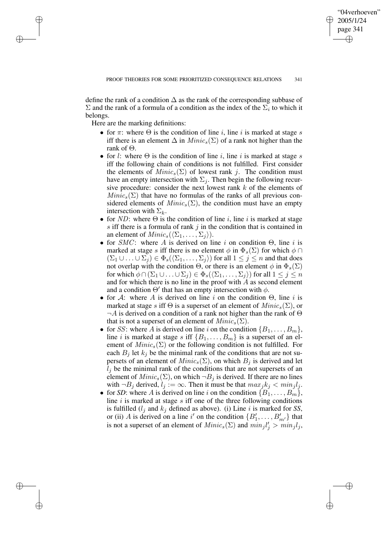✐

define the rank of a condition  $\Delta$  as the rank of the corresponding subbase of  $\Sigma$  and the rank of a formula of a condition as the index of the  $\Sigma_i$  to which it belongs.

Here are the marking definitions:

✐

✐

✐

- for  $\pi$ : where  $\Theta$  is the condition of line *i*, line *i* is marked at stage *s* iff there is an element  $\Delta$  in  $Minic_s(\Sigma)$  of a rank not higher than the rank of  $\Theta$ .
- for l: where  $\Theta$  is the condition of line i, line i is marked at stage s iff the following chain of conditions is not fulfilled. First consider the elements of  $Minic_s(\Sigma)$  of lowest rank j. The condition must have an empty intersection with  $\Sigma_j$ . Then begin the following recursive procedure: consider the next lowest rank k of the elements of  $Minic_s(\Sigma)$  that have no formulas of the ranks of all previous considered elements of  $Minic_s(\Sigma)$ , the condition must have an empty intersection with  $\Sigma_k$ .
- for ND: where  $\Theta$  is the condition of line i, line i is marked at stage s iff there is a formula of rank  $j$  in the condition that is contained in an element of  $Minic_s(\langle\Sigma_1, \ldots, \Sigma_i\rangle)$ .
- for  $SMC$ : where A is derived on line i on condition  $\Theta$ , line i is marked at stage s iff there is no element  $\phi$  in  $\Phi_s(\Sigma)$  for which  $\phi \cap$  $(\Sigma_1 \cup \ldots \cup \Sigma_j) \in \Phi_s(\langle \Sigma_1, \ldots, \Sigma_j \rangle)$  for all  $1 \leq j \leq n$  and that does not overlap with the condition  $\Theta$ , or there is an element  $\phi$  in  $\Phi_s(\Sigma)$ for which  $\phi \cap (\Sigma_1 \cup \ldots \cup \Sigma_j) \in \Phi_s(\langle \Sigma_1, \ldots, \Sigma_j \rangle)$  for all  $1 \leq j \leq n$ and for which there is no line in the proof with  $A$  as second element and a condition  $\Theta'$  that has an empty intersection with  $\phi$ .
- for A: where A is derived on line i on the condition  $\Theta$ , line i is marked at stage s iff  $\Theta$  is a superset of an element of  $Minic_s(\Sigma)$ , or  $\neg A$  is derived on a condition of a rank not higher than the rank of  $\Theta$ that is not a superset of an element of  $Minic_s(\Sigma)$ .
- for SS: where A is derived on line i on the condition  $\{B_1, \ldots, B_m\}$ , line i is marked at stage s iff  $\{B_1, \ldots, B_m\}$  is a superset of an element of  $Minic_s(\Sigma)$  or the following condition is not fulfilled. For each  $B_i$  let  $k_j$  be the minimal rank of the conditions that are not supersets of an element of  $Minic_s(\Sigma)$ , on which  $B_j$  is derived and let  $l_j$  be the minimal rank of the conditions that are not supersets of an element of  $Minic_s(\Sigma)$ , on which  $\neg B_i$  is derived. If there are no lines with  $\neg B_j$  derived,  $l_j := \infty$ . Then it must be that  $max_j k_j < min_j l_j$ .
- for *SD*: where A is derived on line i on the condition  $\{B_1, \ldots, B_m\}$ , line  $i$  is marked at stage  $s$  iff one of the three following conditions is fulfilled  $(l_i$  and  $k_j$  defined as above). (i) Line i is marked for *SS*, or (ii) A is derived on a line i' on the condition  $\{B'_1, \ldots, B'_{m'}\}$  that is not a superset of an element of  $Minic_s(\Sigma)$  and  $min_j l'_j > min_j l_j$ ,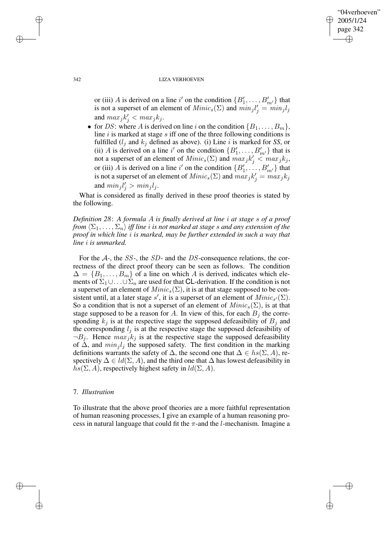✐

### 342 LIZA VERHOEVEN

or (iii) A is derived on a line i' on the condition  $\{B'_1, \ldots, B'_{m'}\}$  that is not a superset of an element of  $Minic_s(\Sigma)$  and  $min_j l'_j = min_j l_j$ and  $max_j k'_j < max_j k_j$ .

• for DS: where A is derived on line i on the condition  $\{B_1, \ldots, B_m\}$ , line  $i$  is marked at stage  $s$  iff one of the three following conditions is fulfilled  $(l_i$  and  $k_j$  defined as above). (i) Line i is marked for *SS*, or (ii) A is derived on a line i' on the condition  $\{B'_1, \ldots, B'_{m'}\}$  that is not a superset of an element of  $Minic_s(\Sigma)$  and  $max_j k'_j < max_j k_j$ , or (iii) A is derived on a line i' on the condition  $\{B'_1, \ldots, B'_{m'}\}$  that is not a superset of an element of  $Minic_s(\Sigma)$  and  $max_j k'_j = max_j k_j$ and  $min_j l'_j > min_j l_j$ .

What is considered as finally derived in these proof theories is stated by the following.

*Definition 28*: *A formula* A *is finally derived at line* i *at stage* s *of a proof from*  $\langle \Sigma_1, \ldots, \Sigma_n \rangle$  *iff* line *i is not marked at stage s and any extension of the proof in which line* i *is marked, may be further extended in such a way that line* i *is unmarked.*

For the A-, the SS-, the SD- and the DS-consequence relations, the correctness of the direct proof theory can be seen as follows. The condition  $\Delta = \{B_1, \ldots, B_m\}$  of a line on which A is derived, indicates which elements of  $\Sigma_1 \cup \ldots \cup \Sigma_n$  are used for that **CL**-derivation. If the condition is not a superset of an element of  $Minic_s(\Sigma)$ , it is at that stage supposed to be consistent until, at a later stage s', it is a superset of an element of  $Minic_{s'}(\Sigma)$ . So a condition that is not a superset of an element of  $Minic_s(\Sigma)$ , is at that stage supposed to be a reason for A. In view of this, for each  $B_i$  the corresponding  $k_i$  is at the respective stage the supposed defeasibility of  $B_i$  and the corresponding  $l_i$  is at the respective stage the supposed defeasibility of  $\neg B_j$ . Hence  $max_j k_j$  is at the respective stage the supposed defeasibility of  $\Delta$ , and  $min_j l_j$  the supposed safety. The first condition in the marking definitions warrants the safety of  $\Delta$ , the second one that  $\Delta \in \text{hs}(\Sigma, A)$ , respectively  $\Delta \in Id(\Sigma, A)$ , and the third one that  $\Delta$  has lowest defeasibility in  $hs(\Sigma, A)$ , respectively highest safety in  $ld(\Sigma, A)$ .

# 7. *Illustration*

To illustrate that the above proof theories are a more faithful representation of human reasoning processes, I give an example of a human reasoning process in natural language that could fit the  $\pi$ -and the *l*-mechanism. Imagine a

✐

✐

✐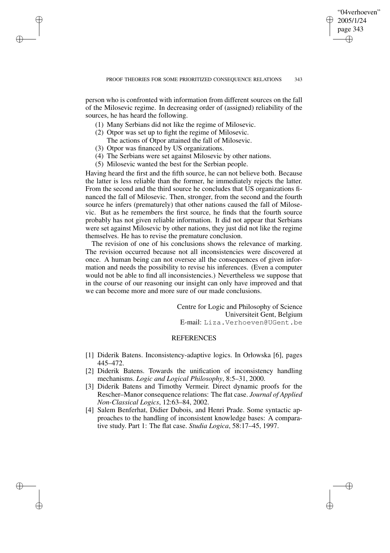✐

person who is confronted with information from different sources on the fall of the Milosevic regime. In decreasing order of (assigned) reliability of the sources, he has heard the following.

- (1) Many Serbians did not like the regime of Milosevic.
- (2) Otpor was set up to fight the regime of Milosevic.
- The actions of Otpor attained the fall of Milosevic.
- (3) Otpor was financed by US organizations.

✐

✐

✐

✐

- (4) The Serbians were set against Milosevic by other nations.
- (5) Milosevic wanted the best for the Serbian people.

Having heard the first and the fifth source, he can not believe both. Because the latter is less reliable than the former, he immediately rejects the latter. From the second and the third source he concludes that US organizations financed the fall of Milosevic. Then, stronger, from the second and the fourth source he infers (prematurely) that other nations caused the fall of Milosevic. But as he remembers the first source, he finds that the fourth source probably has not given reliable information. It did not appear that Serbians were set against Milosevic by other nations, they just did not like the regime themselves. He has to revise the premature conclusion.

The revision of one of his conclusions shows the relevance of marking. The revision occurred because not all inconsistencies were discovered at once. A human being can not oversee all the consequences of given information and needs the possibility to revise his inferences. (Even a computer would not be able to find all inconsistencies.) Nevertheless we suppose that in the course of our reasoning our insight can only have improved and that we can become more and more sure of our made conclusions.

> Centre for Logic and Philosophy of Science Universiteit Gent, Belgium E-mail: Liza.Verhoeven@UGent.be

### **REFERENCES**

- [1] Diderik Batens. Inconsistency-adaptive logics. In Orłowska [6], pages 445–472.
- [2] Diderik Batens. Towards the unification of inconsistency handling mechanisms. *Logic and Logical Philosophy*, 8:5–31, 2000.
- [3] Diderik Batens and Timothy Vermeir. Direct dynamic proofs for the Rescher–Manor consequence relations: The flat case. *Journal of Applied Non-Classical Logics*, 12:63–84, 2002.
- [4] Salem Benferhat, Didier Dubois, and Henri Prade. Some syntactic approaches to the handling of inconsistent knowledge bases: A comparative study. Part 1: The flat case. *Studia Logica*, 58:17–45, 1997.